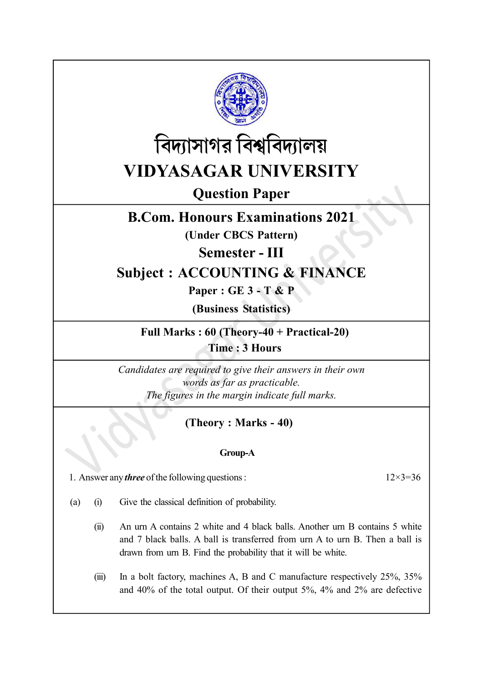



Question Paper

## B.Com. Honours Examinations 2021

(Under CBCS Pattern)

Semester - III

# Subject : ACCOUNTING & FINANCE

Paper : GE 3 - T & P

(Business Statistics)

Full Marks : 60 (Theory-40 + Practical-20) Time : 3 Hours

Candidates are required to give their answers in their own words as far as practicable. The figures in the margin indicate full marks.

## (Theory : Marks - 40)

### Group-A

1. Answer any *three* of the following questions :  $12 \times 3 = 36$ 

- (a) (i) Give the classical definition of probability.
	- (ii) An urn A contains 2 white and 4 black balls. Another urn B contains 5 white and 7 black balls. A ball is transferred from urn A to urn B. Then a ball is drawn from urn B. Find the probability that it will be white.
	- (iii) In a bolt factory, machines A, B and C manufacture respectively 25%, 35% and 40% of the total output. Of their output 5%, 4% and 2% are defective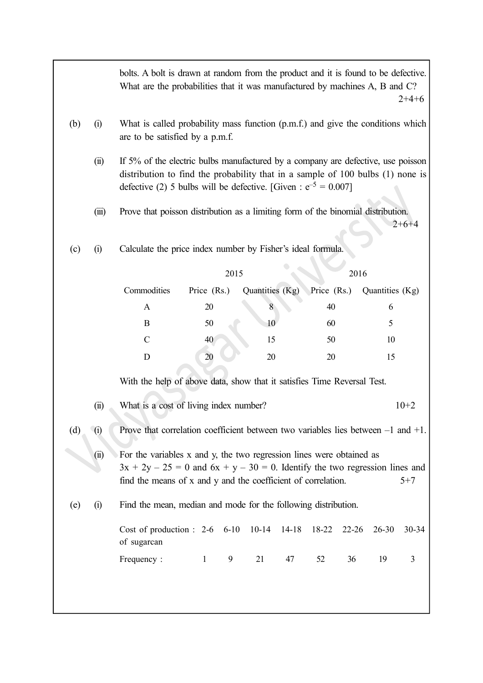|                                                                                                                           |                                                                                                                                                                                                                                              | bolts. A bolt is drawn at random from the product and it is found to be defective.<br>What are the probabilities that it was manufactured by machines A, B and C?<br>$2+4+6$                                                               |             |   |                 |    |             |           |                 |         |  |  |  |
|---------------------------------------------------------------------------------------------------------------------------|----------------------------------------------------------------------------------------------------------------------------------------------------------------------------------------------------------------------------------------------|--------------------------------------------------------------------------------------------------------------------------------------------------------------------------------------------------------------------------------------------|-------------|---|-----------------|----|-------------|-----------|-----------------|---------|--|--|--|
| (b)                                                                                                                       | (i)                                                                                                                                                                                                                                          | What is called probability mass function (p.m.f.) and give the conditions which<br>are to be satisfied by a p.m.f.                                                                                                                         |             |   |                 |    |             |           |                 |         |  |  |  |
|                                                                                                                           | (ii)                                                                                                                                                                                                                                         | If 5% of the electric bulbs manufactured by a company are defective, use poisson<br>distribution to find the probability that in a sample of 100 bulbs (1) none is<br>defective (2) 5 bulbs will be defective. [Given : $e^{-5} = 0.007$ ] |             |   |                 |    |             |           |                 |         |  |  |  |
| Prove that poisson distribution as a limiting form of the binomial distribution.<br>(iii)                                 |                                                                                                                                                                                                                                              |                                                                                                                                                                                                                                            |             |   |                 |    |             |           |                 | $2+6+4$ |  |  |  |
| Calculate the price index number by Fisher's ideal formula.<br>(i)<br>(c)                                                 |                                                                                                                                                                                                                                              |                                                                                                                                                                                                                                            |             |   |                 |    |             |           |                 |         |  |  |  |
|                                                                                                                           | 2015<br>2016                                                                                                                                                                                                                                 |                                                                                                                                                                                                                                            |             |   |                 |    |             |           |                 |         |  |  |  |
|                                                                                                                           |                                                                                                                                                                                                                                              | Commodities                                                                                                                                                                                                                                | Price (Rs.) |   | Quantities (Kg) |    | Price (Rs.) |           | Quantities (Kg) |         |  |  |  |
|                                                                                                                           |                                                                                                                                                                                                                                              | $\mathbf{A}$                                                                                                                                                                                                                               | 20          |   | 8               |    | 40          |           | 6               |         |  |  |  |
|                                                                                                                           |                                                                                                                                                                                                                                              | B                                                                                                                                                                                                                                          | 50          |   | 10              |    | 60          |           | 5               |         |  |  |  |
|                                                                                                                           |                                                                                                                                                                                                                                              | $\mathbf C$                                                                                                                                                                                                                                | 40          |   | 15              |    | 50          |           | 10              |         |  |  |  |
|                                                                                                                           |                                                                                                                                                                                                                                              | D                                                                                                                                                                                                                                          | 20          |   | 20              |    | 20          |           | 15              |         |  |  |  |
|                                                                                                                           |                                                                                                                                                                                                                                              | With the help of above data, show that it satisfies Time Reversal Test.                                                                                                                                                                    |             |   |                 |    |             |           |                 |         |  |  |  |
|                                                                                                                           | (ii)                                                                                                                                                                                                                                         | What is a cost of living index number?<br>$10+2$                                                                                                                                                                                           |             |   |                 |    |             |           |                 |         |  |  |  |
| Prove that correlation coefficient between two variables lies between $-1$ and $+1$ .<br>(i)<br>$\left(\mathrm{d}\right)$ |                                                                                                                                                                                                                                              |                                                                                                                                                                                                                                            |             |   |                 |    |             |           |                 |         |  |  |  |
|                                                                                                                           | For the variables x and y, the two regression lines were obtained as<br>(ii)<br>$3x + 2y - 25 = 0$ and $6x + y - 30 = 0$ . Identify the two regression lines and<br>find the means of x and y and the coefficient of correlation.<br>$5 + 7$ |                                                                                                                                                                                                                                            |             |   |                 |    |             |           |                 |         |  |  |  |
| (e)                                                                                                                       | (i)                                                                                                                                                                                                                                          | Find the mean, median and mode for the following distribution.                                                                                                                                                                             |             |   |                 |    |             |           |                 |         |  |  |  |
|                                                                                                                           |                                                                                                                                                                                                                                              | Cost of production : 2-6 6-10 10-14 14-18<br>of sugarcan                                                                                                                                                                                   |             |   |                 |    | 18-22       | $22 - 26$ | $26 - 30$       | 30-34   |  |  |  |
|                                                                                                                           |                                                                                                                                                                                                                                              | Frequency:                                                                                                                                                                                                                                 | $\sim$ $1$  | 9 | 21              | 47 | 52          | 36        | 19              | 3       |  |  |  |
|                                                                                                                           |                                                                                                                                                                                                                                              |                                                                                                                                                                                                                                            |             |   |                 |    |             |           |                 |         |  |  |  |
|                                                                                                                           |                                                                                                                                                                                                                                              |                                                                                                                                                                                                                                            |             |   |                 |    |             |           |                 |         |  |  |  |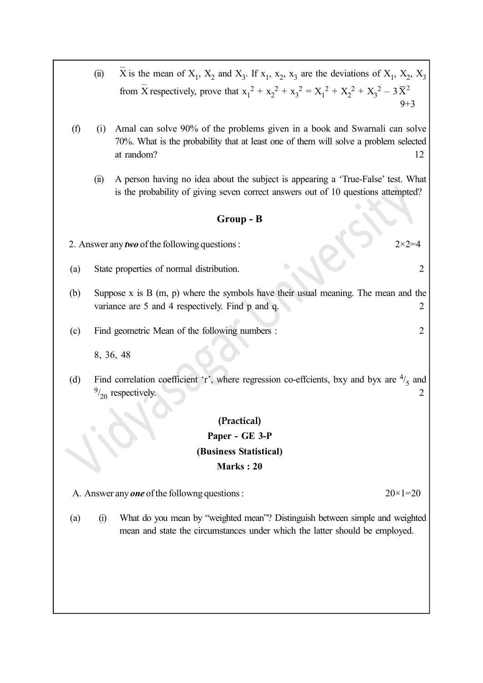- (ii)  $\overline{X}$  is It is the mean of  $X_1$ ,  $X_2$  and  $X_3$ . If  $x_1$ ,  $x_2$ ,  $x_3$  are the deviations of  $X_1$ ,  $X_2$ ,  $X_3$ from X  $\frac{1}{2}$ The respectively, prove that  $x_1^2 + x_2^2 + x_3^2 = X_1^2 + X_2^2 + X_3^2 - 3\overline{X}^2$  $9+3$
- (f) (i) Amal can solve 90% of the problems given in a book and Swarnali can solve 70%. What is the probability that at least one of them will solve a problem selected at random? 12
	- (ii) A person having no idea about the subject is appearing a 'True-False' test. What is the probability of giving seven correct answers out of 10 questions attempted?

#### Group - B

- 2. Answer any *two* of the following questions :  $2 \times 2 = 4$
- (a) State properties of normal distribution. 2
- (b) Suppose x is B (m, p) where the symbols have their usual meaning. The mean and the variance are 5 and 4 respectively. Find p and q. 2
- (c) Find geometric Mean of the following numbers : 2

8, 36, 48

(d) Find correlation coefficient 'r', where regression co-effcients, bxy and byx are  $\frac{4}{5}$  and  $\frac{9}{20}$  respectively. 2

#### (Practical)

### Paper - GE 3-P (Business Statistical) Marks : 20

A. Answer any **one** of the followng questions :  $20 \times 1 = 20$ 

(a) (i) What do you mean by "weighted mean"? Distinguish between simple and weighted mean and state the circumstances under which the latter should be employed.